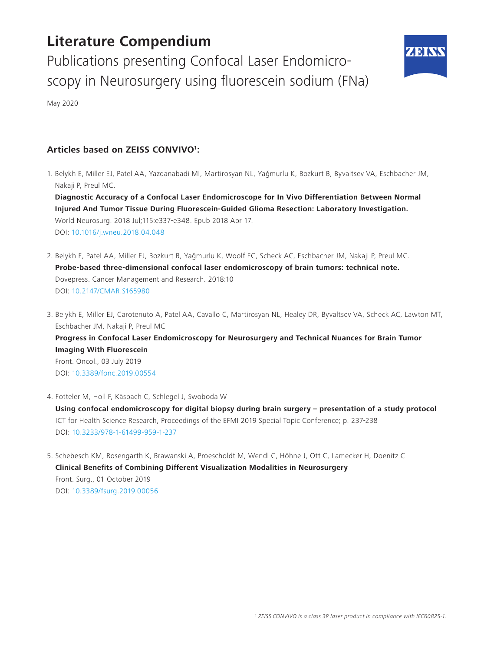# **Literature Compendium**

Publications presenting Confocal Laser Endomicroscopy in Neurosurgery using fluorescein sodium (FNa)



May 2020

## **Articles based on ZEISS CONVIVO1:**

1. Belykh E, Miller EJ, Patel AA, Yazdanabadi MI, Martirosyan NL, Yağmurlu K, Bozkurt B, Byvaltsev VA, Eschbacher JM, Nakaji P, Preul MC.

**Diagnostic Accuracy of a Confocal Laser Endomicroscope for In Vivo Differentiation Between Normal Injured And Tumor Tissue During Fluorescein-Guided Glioma Resection: Laboratory Investigation.**  World Neurosurg. 2018 Jul;115:e337-e348. Epub 2018 Apr 17. DOI: [10.1016/j.wneu.2018.04.048](https://www.sciencedirect.com/science/article/pii/S1878875018307642?via%3Dihub)

- 2. Belykh E, Patel AA, Miller EJ, Bozkurt B, Yağmurlu K, Woolf EC, Scheck AC, Eschbacher JM, Nakaji P, Preul MC. **Probe-based three-dimensional confocal laser endomicroscopy of brain tumors: technical note.** Dovepress. Cancer Management and Research. 2018:10 DOI: [10.2147/CMAR.S165980](https://www.dovepress.com/probe-based-three-dimensional-confocal-laser-endomicroscopy-of-brain-t-peer-reviewed-article-CMAR)
- 3. Belykh E, Miller EJ, Carotenuto A, Patel AA, Cavallo C, Martirosyan NL, Healey DR, Byvaltsev VA, Scheck AC, Lawton MT, Eschbacher JM, Nakaji P, Preul MC

**Progress in Confocal Laser Endomicroscopy for Neurosurgery and Technical Nuances for Brain Tumor Imaging With Fluorescein**  Front. Oncol., 03 July 2019 DOI: [10.3389/fonc.2019.00554](https://doi.org/10.3389/fonc.2019.00554 )

- 4. Fotteler M, Holl F, Käsbach C, Schlegel J, Swoboda W **Using confocal endomicroscopy for digital biopsy during brain surgery – presentation of a study protocol**  ICT for Health Science Research, Proceedings of the EFMI 2019 Special Topic Conference; p. 237-238 DOI: [10.3233/978-1-61499-959-1-237](http://ebooks.iospress.nl/volume/ict-for-health-science-research-proceedings-of-the-efmi-2019-special-topic-conference-7-10-april-2019-hanover-germany)
- 5. Schebesch KM, Rosengarth K, Brawanski A, Proescholdt M, Wendl C, Höhne J, Ott C, Lamecker H, Doenitz C **Clinical Benefits of Combining Different Visualization Modalities in Neurosurgery**  Front. Surg., 01 October 2019 DOI: [10.3389/fsurg.2019.00056](https://doi.org/10.3389/fsurg.2019.00056)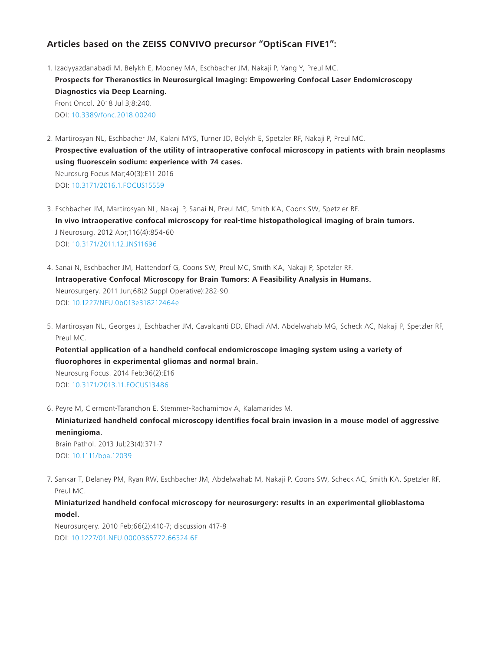### **Articles based on the ZEISS CONVIVO precursor "OptiScan FIVE1":**

- 1. Izadyyazdanabadi M, Belykh E, Mooney MA, Eschbacher JM, Nakaji P, Yang Y, Preul MC. **Prospects for Theranostics in Neurosurgical Imaging: Empowering Confocal Laser Endomicroscopy Diagnostics via Deep Learning.**  Front Oncol. 2018 Jul 3;8:240. DOI: [10.3389/fonc.2018.00240](https://www.frontiersin.org/articles/10.3389/fonc.2018.00240/full)
- 2. Martirosyan NL, Eschbacher JM, Kalani MYS, Turner JD, Belykh E, Spetzler RF, Nakaji P, Preul MC. **Prospective evaluation of the utility of intraoperative confocal microscopy in patients with brain neoplasms using fluorescein sodium: experience with 74 cases.** Neurosurg Focus Mar;40(3):E11 2016 DOI: [10.3171/2016.1.FOCUS15559](https://thejns.org/focus/view/journals/neurosurg-focus/40/3/article-pE11.xml)
- 3. Eschbacher JM, Martirosyan NL, Nakaji P, Sanai N, Preul MC, Smith KA, Coons SW, Spetzler RF. **In vivo intraoperative confocal microscopy for real-time histopathological imaging of brain tumors.** J Neurosurg. 2012 Apr;116(4):854-60 DOI: [10.3171/2011.12.JNS11696](https://thejns.org/view/journals/j-neurosurg/116/4/article-p854.xml)
- 4. Sanai N, Eschbacher JM, Hattendorf G, Coons SW, Preul MC, Smith KA, Nakaji P, Spetzler RF. **Intraoperative Confocal Microscopy for Brain Tumors: A Feasibility Analysis in Humans.** Neurosurgery. 2011 Jun;68(2 Suppl Operative):282-90. DOI: [10.1227/NEU.0b013e318212464e](https://academic.oup.com/ons/article/68/suppl_2/ons282/2408501)
- 5. Martirosyan NL, Georges J, Eschbacher JM, Cavalcanti DD, Elhadi AM, Abdelwahab MG, Scheck AC, Nakaji P, Spetzler RF, Preul MC.

**Potential application of a handheld confocal endomicroscope imaging system using a variety of fluorophores in experimental gliomas and normal brain.** Neurosurg Focus. 2014 Feb;36(2):E16

DOI: [10.3171/2013.11.FOCUS13486](https://thejns.org/focus/view/journals/neurosurg-focus/36/2/article-pE16.xml)

6. Peyre M, Clermont-Taranchon E, Stemmer-Rachamimov A, Kalamarides M. **Miniaturized handheld confocal microscopy identifies focal brain invasion in a mouse model of aggressive meningioma.** Brain Pathol. 2013 Jul;23(4):371-7 DOI: [10.1111/bpa.12039](https://doi.org/10.1111/bpa.12039)

7. Sankar T, Delaney PM, Ryan RW, Eschbacher JM, Abdelwahab M, Nakaji P, Coons SW, Scheck AC, Smith KA, Spetzler RF, Preul MC.

#### **Miniaturized handheld confocal microscopy for neurosurgery: results in an experimental glioblastoma model.**

Neurosurgery. 2010 Feb;66(2):410-7; discussion 417-8 DOI: [10.1227/01.NEU.0000365772.66324.6F](https://academic.oup.com/neurosurgery/article-abstract/66/2/410/2556014?redirectedFrom=fulltexthttp://)